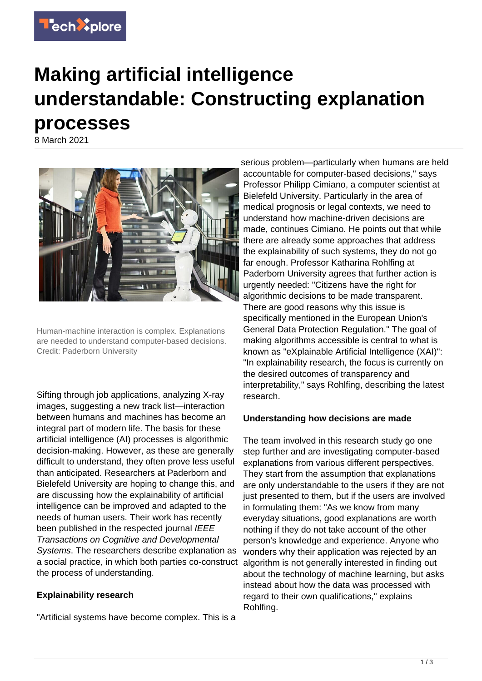

# **Making artificial intelligence understandable: Constructing explanation processes**

8 March 2021



Human-machine interaction is complex. Explanations are needed to understand computer-based decisions. Credit: Paderborn University

Sifting through job applications, analyzing X-ray images, suggesting a new track list—interaction between humans and machines has become an integral part of modern life. The basis for these artificial intelligence (AI) processes is algorithmic decision-making. However, as these are generally difficult to understand, they often prove less useful than anticipated. Researchers at Paderborn and Bielefeld University are hoping to change this, and are discussing how the explainability of artificial intelligence can be improved and adapted to the needs of human users. Their work has recently been published in the respected journal IEEE Transactions on Cognitive and Developmental Systems. The researchers describe explanation as a social practice, in which both parties co-construct the process of understanding.

### **Explainability research**

"Artificial systems have become complex. This is a

serious problem—particularly when humans are held accountable for computer-based decisions," says Professor Philipp Cimiano, a computer scientist at Bielefeld University. Particularly in the area of medical prognosis or legal contexts, we need to understand how machine-driven decisions are made, continues Cimiano. He points out that while there are already some approaches that address the explainability of such systems, they do not go far enough. Professor Katharina Rohlfing at Paderborn University agrees that further action is urgently needed: "Citizens have the right for algorithmic decisions to be made transparent. There are good reasons why this issue is specifically mentioned in the European Union's General Data Protection Regulation." The goal of making algorithms accessible is central to what is known as "eXplainable Artificial Intelligence (XAI)": "In explainability research, the focus is currently on the desired outcomes of transparency and interpretability," says Rohlfing, describing the latest research.

### **Understanding how decisions are made**

The team involved in this research study go one step further and are investigating computer-based explanations from various different perspectives. They start from the assumption that explanations are only understandable to the users if they are not just presented to them, but if the users are involved in formulating them: "As we know from many everyday situations, good explanations are worth nothing if they do not take account of the other person's knowledge and experience. Anyone who wonders why their application was rejected by an algorithm is not generally interested in finding out about the technology of machine learning, but asks instead about how the data was processed with regard to their own qualifications," explains Rohlfing.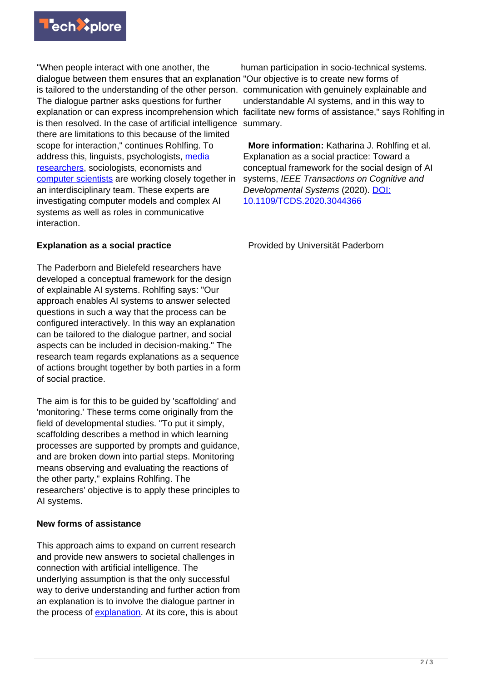

"When people interact with one another, the dialogue between them ensures that an explanation "Our objective is to create new forms of is tailored to the understanding of the other person. communication with genuinely explainable and The dialogue partner asks questions for further explanation or can express incomprehension which facilitate new forms of assistance," says Rohlfing in is then resolved. In the case of artificial intelligence summary. there are limitations to this because of the limited scope for interaction," continues Rohlfing. To address this, linguists, psychologists, [media](https://techxplore.com/tags/media+researchers/) [researchers](https://techxplore.com/tags/media+researchers/), sociologists, economists and [computer scientists](https://techxplore.com/tags/computer+scientists/) are working closely together in an interdisciplinary team. These experts are investigating computer models and complex AI systems as well as roles in communicative interaction.

## **Explanation as a social practice**

The Paderborn and Bielefeld researchers have developed a conceptual framework for the design of explainable AI systems. Rohlfing says: "Our approach enables AI systems to answer selected questions in such a way that the process can be configured interactively. In this way an explanation can be tailored to the dialogue partner, and social aspects can be included in decision-making." The research team regards explanations as a sequence of actions brought together by both parties in a form of social practice.

The aim is for this to be guided by 'scaffolding' and 'monitoring.' These terms come originally from the field of developmental studies. "To put it simply, scaffolding describes a method in which learning processes are supported by prompts and guidance, and are broken down into partial steps. Monitoring means observing and evaluating the reactions of the other party," explains Rohlfing. The researchers' objective is to apply these principles to AI systems.

### **New forms of assistance**

This approach aims to expand on current research and provide new answers to societal challenges in connection with artificial intelligence. The underlying assumption is that the only successful way to derive understanding and further action from an explanation is to involve the dialogue partner in the process of [explanation.](https://techxplore.com/tags/explanation/) At its core, this is about

human participation in socio-technical systems. understandable AI systems, and in this way to

 **More information:** Katharina J. Rohlfing et al. Explanation as a social practice: Toward a conceptual framework for the social design of AI systems, IEEE Transactions on Cognitive and Developmental Systems (2020). [DOI:](http://dx.doi.org/10.1109/TCDS.2020.3044366) [10.1109/TCDS.2020.3044366](http://dx.doi.org/10.1109/TCDS.2020.3044366)

Provided by Universität Paderborn